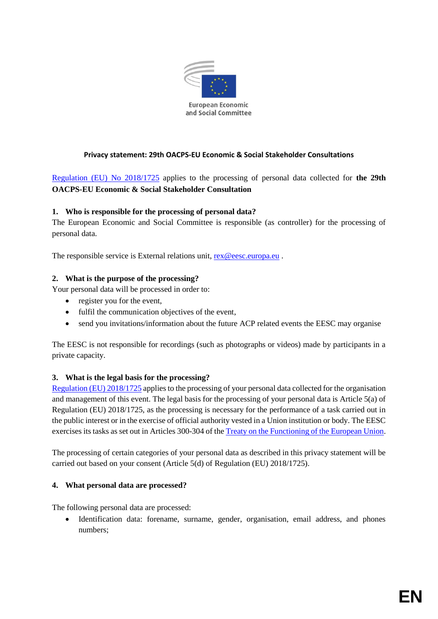

### **Privacy statement: 29th OACPS-EU Economic & Social Stakeholder Consultations**

[Regulation \(EU\) No](https://eur-lex.europa.eu/legal-content/EN/TXT/PDF/?uri=CELEX:32018R1725&from=EN) 2018/1725 applies to the processing of personal data collected for **the 29th OACPS-EU Economic & Social Stakeholder Consultation**

### **1. Who is responsible for the processing of personal data?**

The European Economic and Social Committee is responsible (as controller) for the processing of personal data.

The responsible service is External relations unit, [rex@eesc.europa.eu](mailto:rex@eesc.europa.eu).

### **2. What is the purpose of the processing?**

Your personal data will be processed in order to:

- register you for the event,
- fulfil the communication objectives of the event,
- send you invitations/information about the future ACP related events the EESC may organise

The EESC is not responsible for recordings (such as photographs or videos) made by participants in a private capacity.

## **3. What is the legal basis for the processing?**

[Regulation \(EU\) 2018/1725](https://eur-lex.europa.eu/legal-content/EN/TXT/?uri=uriserv:OJ.L_.2018.295.01.0039.01.ENG&toc=OJ:L:2018:295:TOC%20%20:) applies to the processing of your personal data collected for the organisation and management of this event. The legal basis for the processing of your personal data is Article 5(a) of Regulation (EU) 2018/1725, as the processing is necessary for the performance of a task carried out in the public interest or in the exercise of official authority vested in a Union institution or body. The EESC exercises its tasks as set out in Articles 300-304 of the [Treaty on the Functioning of the European Union.](http://eur-lex.europa.eu/legal-content/en/TXT/?uri=CELEX:12012E/TXT)

The processing of certain categories of your personal data as described in this privacy statement will be carried out based on your consent (Article 5(d) of Regulation (EU) 2018/1725).

### **4. What personal data are processed?**

The following personal data are processed:

 Identification data: forename, surname, gender, organisation, email address, and phones numbers;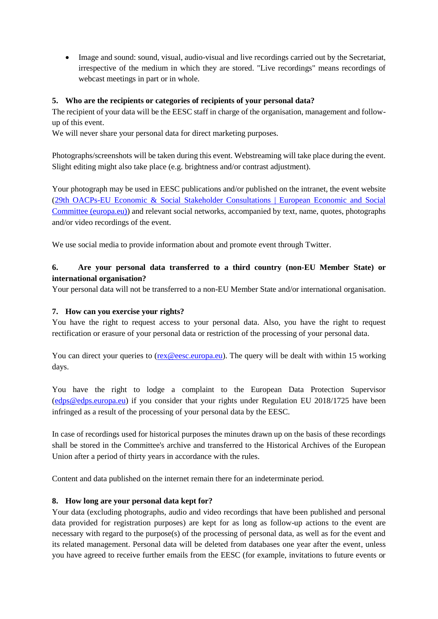Image and sound: sound, visual, audio-visual and live recordings carried out by the Secretariat, irrespective of the medium in which they are stored. "Live recordings" means recordings of webcast meetings in part or in whole.

### **5. Who are the recipients or categories of recipients of your personal data?**

The recipient of your data will be the EESC staff in charge of the organisation, management and followup of this event.

We will never share your personal data for direct marketing purposes.

Photographs/screenshots will be taken during this event. Webstreaming will take place during the event. Slight editing might also take place (e.g. brightness and/or contrast adjustment).

Your photograph may be used in EESC publications and/or published on the intranet, the event website [\(29th OACPs-EU Economic & Social Stakeholder Consultations | European Economic and Social](https://www.eesc.europa.eu/en/agenda/our-events/events/29th-oacps-eu-economic-social-stakeholder-consultations) [Committee \(europa.eu\)\)](https://www.eesc.europa.eu/en/agenda/our-events/events/29th-oacps-eu-economic-social-stakeholder-consultations) and relevant social networks, accompanied by text, name, quotes, photographs and/or video recordings of the event.

We use social media to provide information about and promote event through Twitter.

## **6. Are your personal data transferred to a third country (non-EU Member State) or international organisation?**

Your personal data will not be transferred to a non-EU Member State and/or international organisation.

### **7. How can you exercise your rights?**

You have the right to request access to your personal data. Also, you have the right to request rectification or erasure of your personal data or restriction of the processing of your personal data.

You can direct your queries to [\(rex@eesc.europa.eu\)](mailto:rex@eesc.europa.eu). The query will be dealt with within 15 working days.

You have the right to lodge a complaint to the European Data Protection Supervisor [\(edps@edps.europa.eu\)](mailto:edps@edps.europa.eu) if you consider that your rights under Regulation EU 2018/1725 have been infringed as a result of the processing of your personal data by the EESC.

In case of recordings used for historical purposes the minutes drawn up on the basis of these recordings shall be stored in the Committee's archive and transferred to the Historical Archives of the European Union after a period of thirty years in accordance with the rules.

Content and data published on the internet remain there for an indeterminate period.

### **8. How long are your personal data kept for?**

Your data (excluding photographs, audio and video recordings that have been published and personal data provided for registration purposes) are kept for as long as follow-up actions to the event are necessary with regard to the purpose(s) of the processing of personal data, as well as for the event and its related management. Personal data will be deleted from databases one year after the event, unless you have agreed to receive further emails from the EESC (for example, invitations to future events or